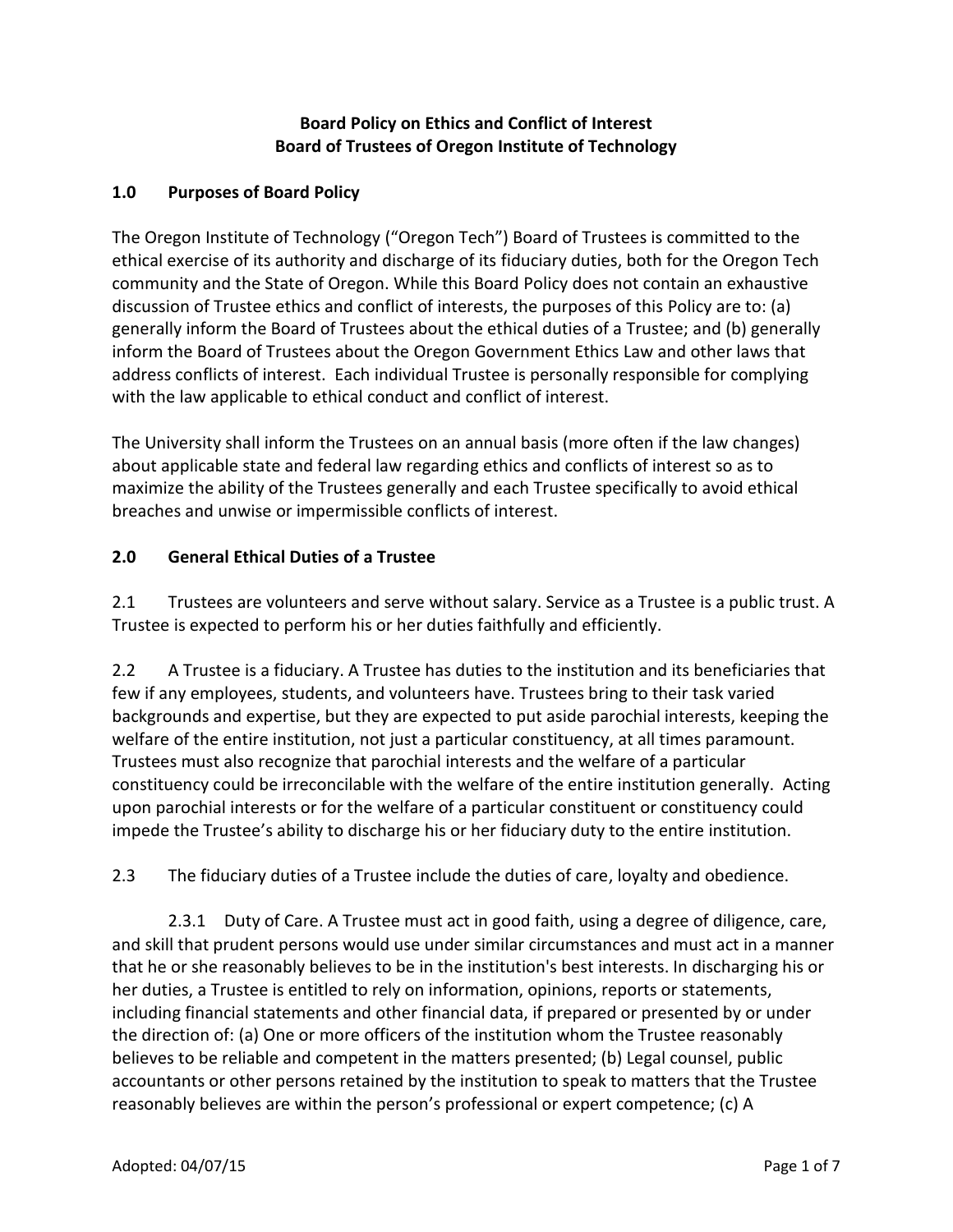## **Board Policy on Ethics and Conflict of Interest Board of Trustees of Oregon Institute of Technology**

## **1.0 Purposes of Board Policy**

The Oregon Institute of Technology ("Oregon Tech") Board of Trustees is committed to the ethical exercise of its authority and discharge of its fiduciary duties, both for the Oregon Tech community and the State of Oregon. While this Board Policy does not contain an exhaustive discussion of Trustee ethics and conflict of interests, the purposes of this Policy are to: (a) generally inform the Board of Trustees about the ethical duties of a Trustee; and (b) generally inform the Board of Trustees about the Oregon Government Ethics Law and other laws that address conflicts of interest. Each individual Trustee is personally responsible for complying with the law applicable to ethical conduct and conflict of interest.

The University shall inform the Trustees on an annual basis (more often if the law changes) about applicable state and federal law regarding ethics and conflicts of interest so as to maximize the ability of the Trustees generally and each Trustee specifically to avoid ethical breaches and unwise or impermissible conflicts of interest.

## **2.0 General Ethical Duties of a Trustee**

2.1 Trustees are volunteers and serve without salary. Service as a Trustee is a public trust. A Trustee is expected to perform his or her duties faithfully and efficiently.

2.2 A Trustee is a fiduciary. A Trustee has duties to the institution and its beneficiaries that few if any employees, students, and volunteers have. Trustees bring to their task varied backgrounds and expertise, but they are expected to put aside parochial interests, keeping the welfare of the entire institution, not just a particular constituency, at all times paramount. Trustees must also recognize that parochial interests and the welfare of a particular constituency could be irreconcilable with the welfare of the entire institution generally. Acting upon parochial interests or for the welfare of a particular constituent or constituency could impede the Trustee's ability to discharge his or her fiduciary duty to the entire institution.

2.3 The fiduciary duties of a Trustee include the duties of care, loyalty and obedience.

2.3.1 Duty of Care. A Trustee must act in good faith, using a degree of diligence, care, and skill that prudent persons would use under similar circumstances and must act in a manner that he or she reasonably believes to be in the institution's best interests. In discharging his or her duties, a Trustee is entitled to rely on information, opinions, reports or statements, including financial statements and other financial data, if prepared or presented by or under the direction of: (a) One or more officers of the institution whom the Trustee reasonably believes to be reliable and competent in the matters presented; (b) Legal counsel, public accountants or other persons retained by the institution to speak to matters that the Trustee reasonably believes are within the person's professional or expert competence; (c) A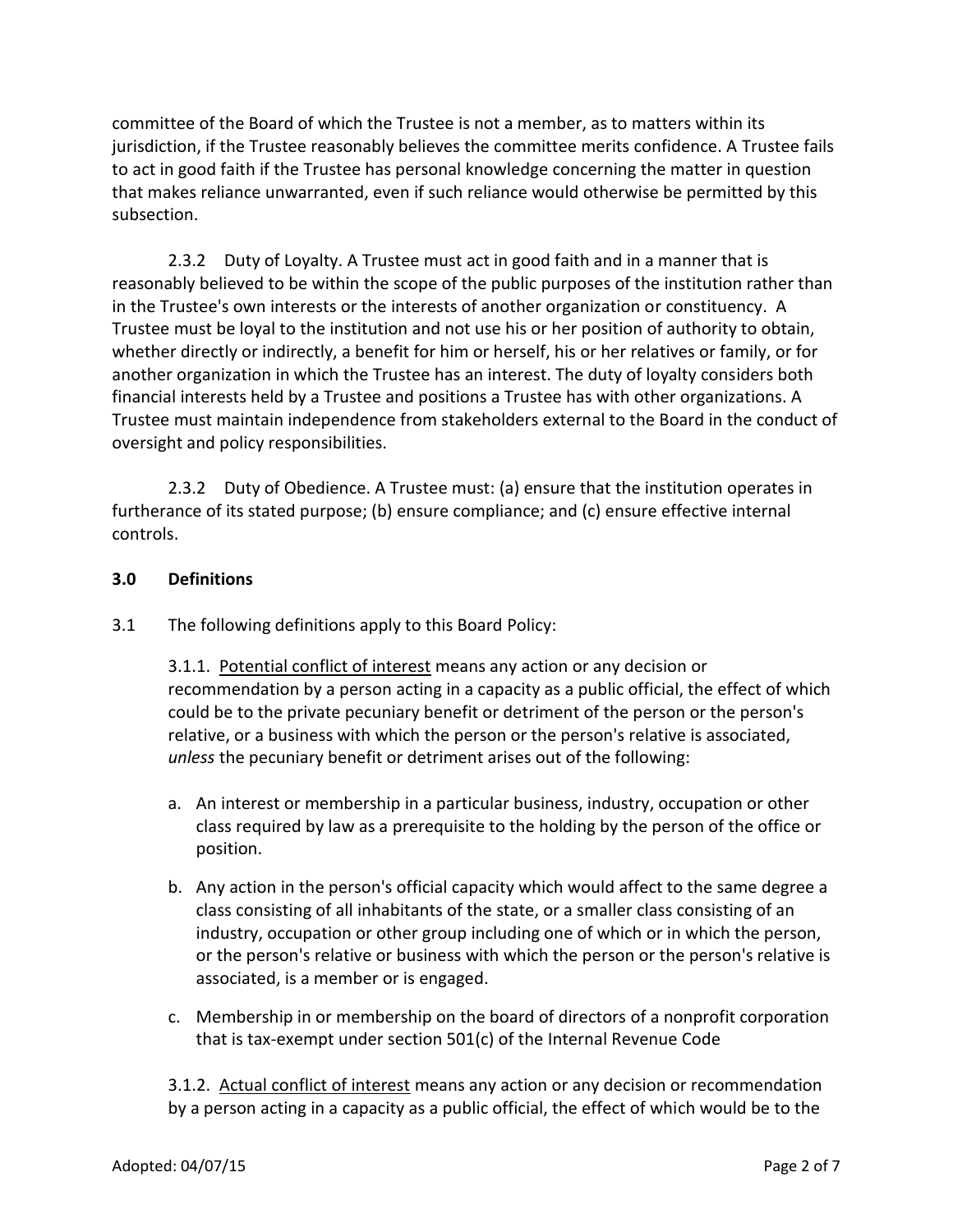committee of the Board of which the Trustee is not a member, as to matters within its jurisdiction, if the Trustee reasonably believes the committee merits confidence. A Trustee fails to act in good faith if the Trustee has personal knowledge concerning the matter in question that makes reliance unwarranted, even if such reliance would otherwise be permitted by this subsection.

2.3.2 Duty of Loyalty. A Trustee must act in good faith and in a manner that is reasonably believed to be within the scope of the public purposes of the institution rather than in the Trustee's own interests or the interests of another organization or constituency. A Trustee must be loyal to the institution and not use his or her position of authority to obtain, whether directly or indirectly, a benefit for him or herself, his or her relatives or family, or for another organization in which the Trustee has an interest. The duty of loyalty considers both financial interests held by a Trustee and positions a Trustee has with other organizations. A Trustee must maintain independence from stakeholders external to the Board in the conduct of oversight and policy responsibilities.

2.3.2 Duty of Obedience. A Trustee must: (a) ensure that the institution operates in furtherance of its stated purpose; (b) ensure compliance; and (c) ensure effective internal controls.

### **3.0 Definitions**

3.1 The following definitions apply to this Board Policy:

3.1.1. Potential conflict of interest means any action or any decision or recommendation by a person acting in a capacity as a public official, the effect of which could be to the private pecuniary benefit or detriment of the person or the person's relative, or a business with which the person or the person's relative is associated, *unless* the pecuniary benefit or detriment arises out of the following:

- a. An interest or membership in a particular business, industry, occupation or other class required by law as a prerequisite to the holding by the person of the office or position.
- b. Any action in the person's official capacity which would affect to the same degree a class consisting of all inhabitants of the state, or a smaller class consisting of an industry, occupation or other group including one of which or in which the person, or the person's relative or business with which the person or the person's relative is associated, is a member or is engaged.
- c. Membership in or membership on the board of directors of a nonprofit corporation that is tax-exempt under section 501(c) of the Internal Revenue Code

3.1.2. Actual conflict of interest means any action or any decision or recommendation by a person acting in a capacity as a public official, the effect of which would be to the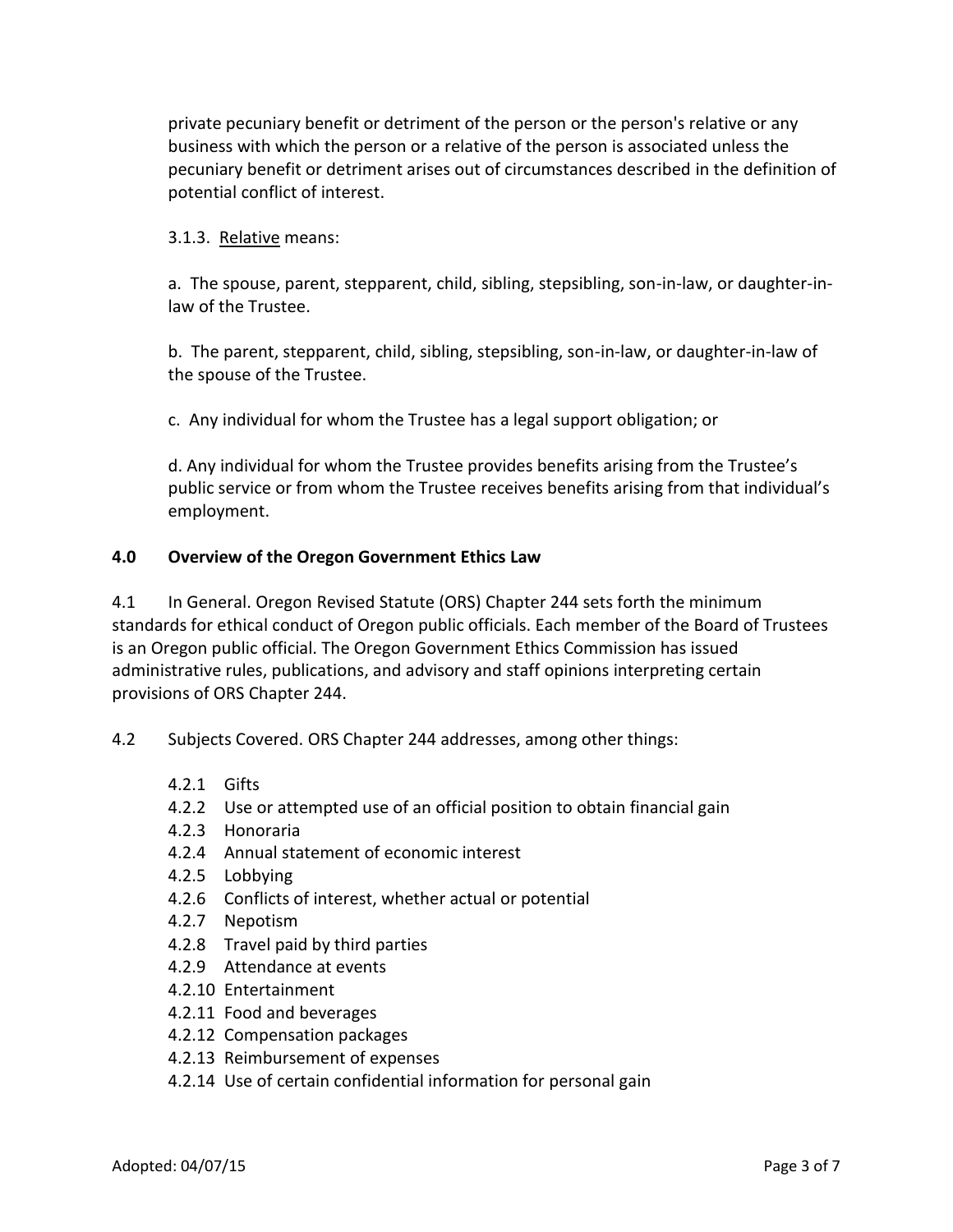private pecuniary benefit or detriment of the person or the person's relative or any business with which the person or a relative of the person is associated unless the pecuniary benefit or detriment arises out of circumstances described in the definition of potential conflict of interest.

#### 3.1.3. Relative means:

a. The spouse, parent, stepparent, child, sibling, stepsibling, son-in-law, or daughter-inlaw of the Trustee.

b. The parent, stepparent, child, sibling, stepsibling, son-in-law, or daughter-in-law of the spouse of the Trustee.

c. Any individual for whom the Trustee has a legal support obligation; or

d. Any individual for whom the Trustee provides benefits arising from the Trustee's public service or from whom the Trustee receives benefits arising from that individual's employment.

#### **4.0 Overview of the Oregon Government Ethics Law**

4.1 In General. Oregon Revised Statute (ORS) Chapter 244 sets forth the minimum standards for ethical conduct of Oregon public officials. Each member of the Board of Trustees is an Oregon public official. The Oregon Government Ethics Commission has issued administrative rules, publications, and advisory and staff opinions interpreting certain provisions of ORS Chapter 244.

4.2 Subjects Covered. ORS Chapter 244 addresses, among other things:

- 4.2.1 Gifts
- 4.2.2 Use or attempted use of an official position to obtain financial gain
- 4.2.3 Honoraria
- 4.2.4 Annual statement of economic interest
- 4.2.5 Lobbying
- 4.2.6 Conflicts of interest, whether actual or potential
- 4.2.7 Nepotism
- 4.2.8 Travel paid by third parties
- 4.2.9 Attendance at events
- 4.2.10 Entertainment
- 4.2.11 Food and beverages
- 4.2.12 Compensation packages
- 4.2.13 Reimbursement of expenses
- 4.2.14 Use of certain confidential information for personal gain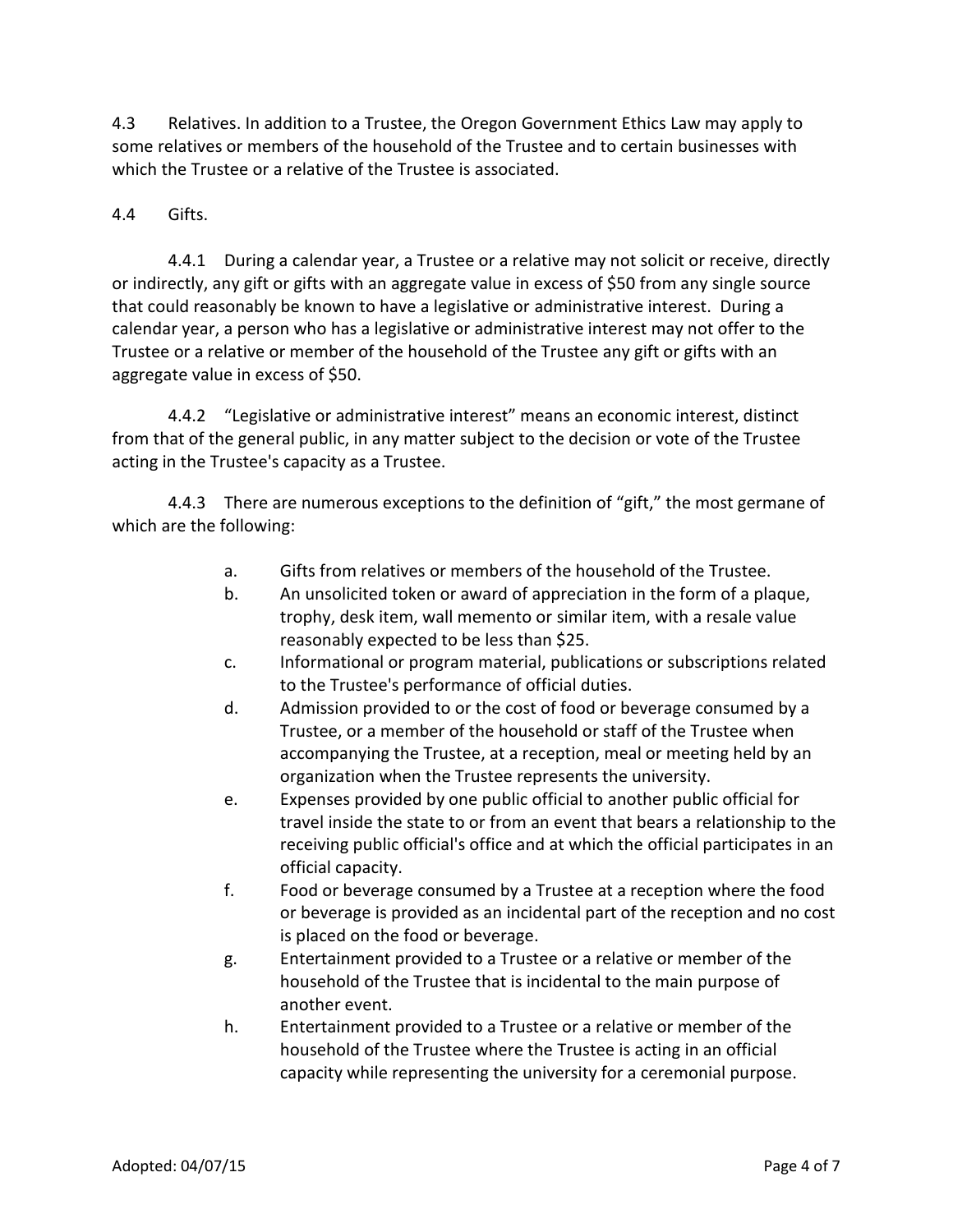4.3 Relatives. In addition to a Trustee, the Oregon Government Ethics Law may apply to some relatives or members of the household of the Trustee and to certain businesses with which the Trustee or a relative of the Trustee is associated.

## 4.4 Gifts.

4.4.1 During a calendar year, a Trustee or a relative may not solicit or receive, directly or indirectly, any gift or gifts with an aggregate value in excess of \$50 from any single source that could reasonably be known to have a legislative or administrative interest. During a calendar year, a person who has a legislative or administrative interest may not offer to the Trustee or a relative or member of the household of the Trustee any gift or gifts with an aggregate value in excess of \$50.

4.4.2 "Legislative or administrative interest" means an economic interest, distinct from that of the general public, in any matter subject to the decision or vote of the Trustee acting in the Trustee's capacity as a Trustee.

4.4.3 There are numerous exceptions to the definition of "gift," the most germane of which are the following:

- a. Gifts from relatives or members of the household of the Trustee.
- b. An unsolicited token or award of appreciation in the form of a plaque, trophy, desk item, wall memento or similar item, with a resale value reasonably expected to be less than \$25.
- c. Informational or program material, publications or subscriptions related to the Trustee's performance of official duties.
- d. Admission provided to or the cost of food or beverage consumed by a Trustee, or a member of the household or staff of the Trustee when accompanying the Trustee, at a reception, meal or meeting held by an organization when the Trustee represents the university.
- e. Expenses provided by one public official to another public official for travel inside the state to or from an event that bears a relationship to the receiving public official's office and at which the official participates in an official capacity.
- f. Food or beverage consumed by a Trustee at a reception where the food or beverage is provided as an incidental part of the reception and no cost is placed on the food or beverage.
- g. Entertainment provided to a Trustee or a relative or member of the household of the Trustee that is incidental to the main purpose of another event.
- h. Entertainment provided to a Trustee or a relative or member of the household of the Trustee where the Trustee is acting in an official capacity while representing the university for a ceremonial purpose.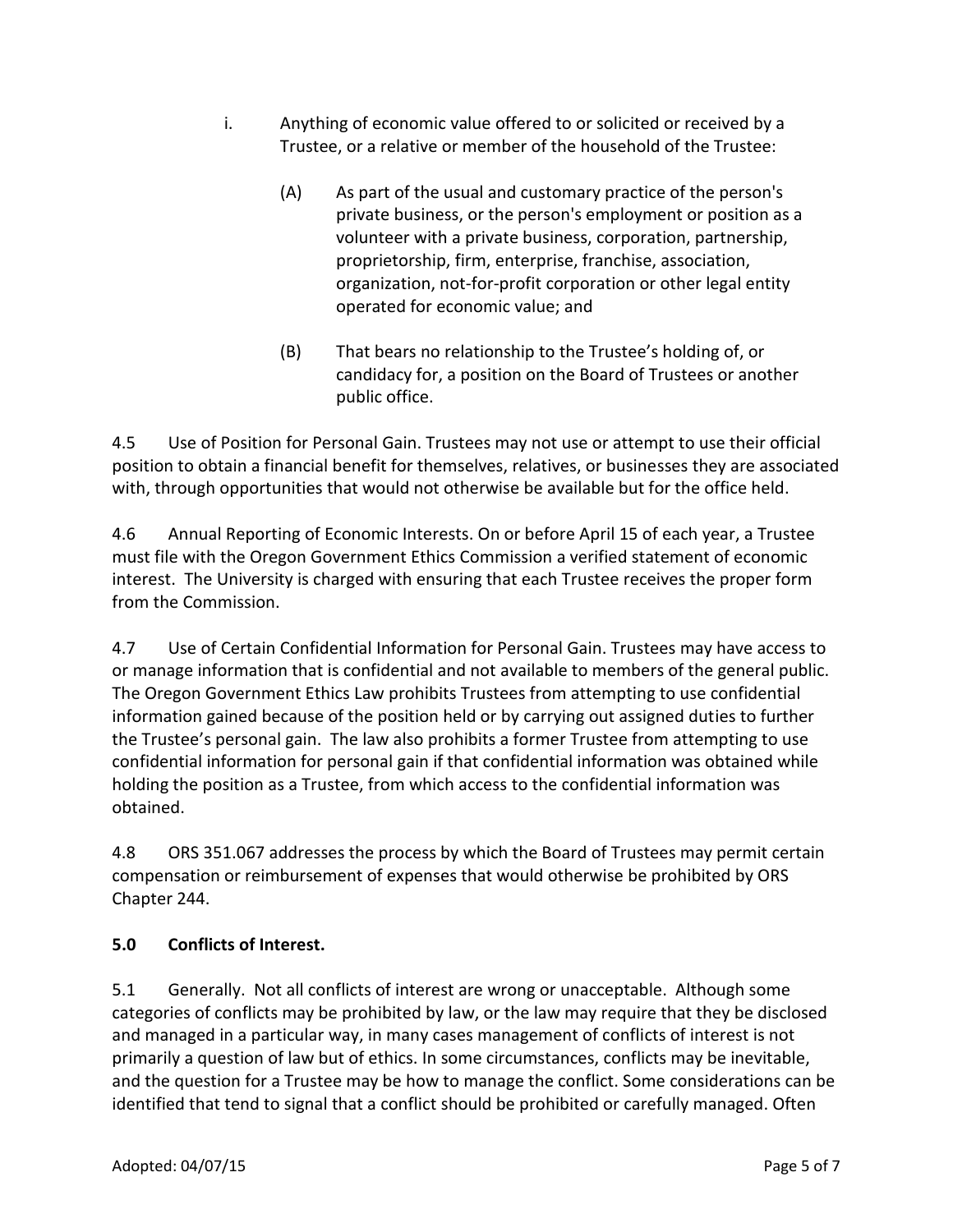- i. Anything of economic value offered to or solicited or received by a Trustee, or a relative or member of the household of the Trustee:
	- (A) As part of the usual and customary practice of the person's private business, or the person's employment or position as a volunteer with a private business, corporation, partnership, proprietorship, firm, enterprise, franchise, association, organization, not-for-profit corporation or other legal entity operated for economic value; and
	- (B) That bears no relationship to the Trustee's holding of, or candidacy for, a position on the Board of Trustees or another public office.

4.5 Use of Position for Personal Gain. Trustees may not use or attempt to use their official position to obtain a financial benefit for themselves, relatives, or businesses they are associated with, through opportunities that would not otherwise be available but for the office held.

4.6 Annual Reporting of Economic Interests. On or before April 15 of each year, a Trustee must file with the Oregon Government Ethics Commission a verified statement of economic interest. The University is charged with ensuring that each Trustee receives the proper form from the Commission.

4.7 Use of Certain Confidential Information for Personal Gain. Trustees may have access to or manage information that is confidential and not available to members of the general public. The Oregon Government Ethics Law prohibits Trustees from attempting to use confidential information gained because of the position held or by carrying out assigned duties to further the Trustee's personal gain. The law also prohibits a former Trustee from attempting to use confidential information for personal gain if that confidential information was obtained while holding the position as a Trustee, from which access to the confidential information was obtained.

4.8 ORS 351.067 addresses the process by which the Board of Trustees may permit certain compensation or reimbursement of expenses that would otherwise be prohibited by ORS Chapter 244.

# **5.0 Conflicts of Interest.**

5.1 Generally. Not all conflicts of interest are wrong or unacceptable. Although some categories of conflicts may be prohibited by law, or the law may require that they be disclosed and managed in a particular way, in many cases management of conflicts of interest is not primarily a question of law but of ethics. In some circumstances, conflicts may be inevitable, and the question for a Trustee may be how to manage the conflict. Some considerations can be identified that tend to signal that a conflict should be prohibited or carefully managed. Often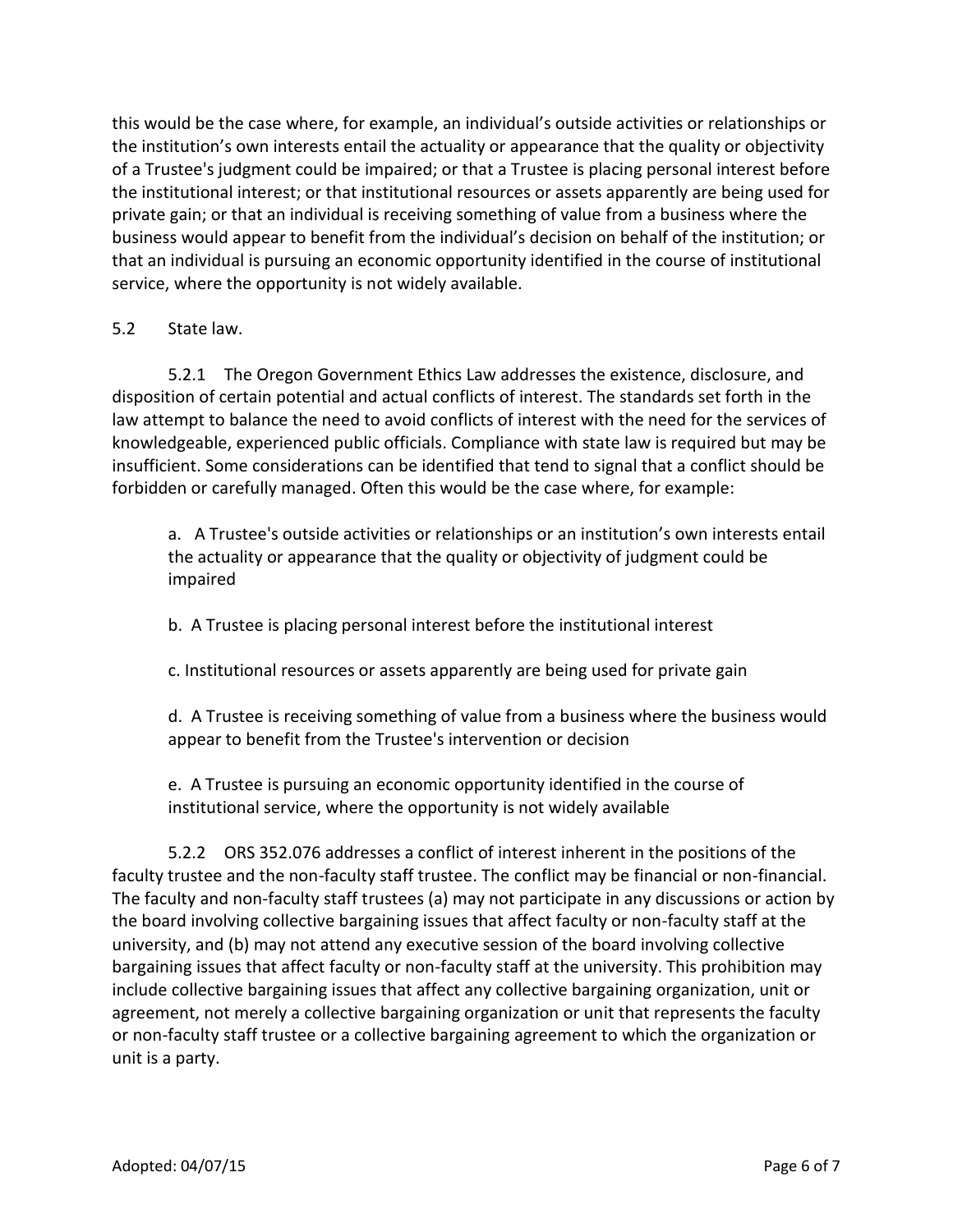this would be the case where, for example, an individual's outside activities or relationships or the institution's own interests entail the actuality or appearance that the quality or objectivity of a Trustee's judgment could be impaired; or that a Trustee is placing personal interest before the institutional interest; or that institutional resources or assets apparently are being used for private gain; or that an individual is receiving something of value from a business where the business would appear to benefit from the individual's decision on behalf of the institution; or that an individual is pursuing an economic opportunity identified in the course of institutional service, where the opportunity is not widely available.

### 5.2 State law.

5.2.1 The Oregon Government Ethics Law addresses the existence, disclosure, and disposition of certain potential and actual conflicts of interest. The standards set forth in the law attempt to balance the need to avoid conflicts of interest with the need for the services of knowledgeable, experienced public officials. Compliance with state law is required but may be insufficient. Some considerations can be identified that tend to signal that a conflict should be forbidden or carefully managed. Often this would be the case where, for example:

a. A Trustee's outside activities or relationships or an institution's own interests entail the actuality or appearance that the quality or objectivity of judgment could be impaired

b. A Trustee is placing personal interest before the institutional interest

c. Institutional resources or assets apparently are being used for private gain

d. A Trustee is receiving something of value from a business where the business would appear to benefit from the Trustee's intervention or decision

e. A Trustee is pursuing an economic opportunity identified in the course of institutional service, where the opportunity is not widely available

5.2.2 ORS 352.076 addresses a conflict of interest inherent in the positions of the faculty trustee and the non-faculty staff trustee. The conflict may be financial or non-financial. The faculty and non-faculty staff trustees (a) may not participate in any discussions or action by the board involving collective bargaining issues that affect faculty or non-faculty staff at the university, and (b) may not attend any executive session of the board involving collective bargaining issues that affect faculty or non-faculty staff at the university. This prohibition may include collective bargaining issues that affect any collective bargaining organization, unit or agreement, not merely a collective bargaining organization or unit that represents the faculty or non-faculty staff trustee or a collective bargaining agreement to which the organization or unit is a party.